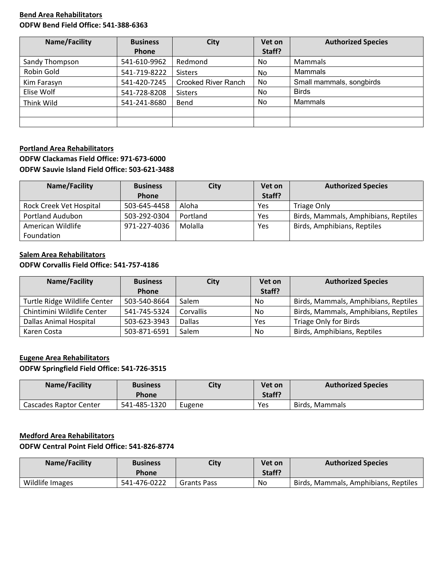### **Bend Area Rehabilitators ODFW Bend Field Office: 541-388-6363**

| <b>Name/Facility</b> | <b>Business</b> | <b>City</b>                | Vet on | <b>Authorized Species</b> |
|----------------------|-----------------|----------------------------|--------|---------------------------|
|                      | <b>Phone</b>    |                            | Staff? |                           |
| Sandy Thompson       | 541-610-9962    | Redmond                    | No     | Mammals                   |
| Robin Gold           | 541-719-8222    | <b>Sisters</b>             | No     | Mammals                   |
| Kim Farasyn          | 541-420-7245    | <b>Crooked River Ranch</b> | No     | Small mammals, songbirds  |
| Elise Wolf           | 541-728-8208    | <b>Sisters</b>             | No     | <b>Birds</b>              |
| Think Wild           | 541-241-8680    | Bend                       | No     | Mammals                   |
|                      |                 |                            |        |                           |
|                      |                 |                            |        |                           |

## **Portland Area Rehabilitators ODFW Clackamas Field Office: 971-673-6000 ODFW Sauvie Island Field Office: 503-621-3488**

| Name/Facility           | <b>Business</b> | City     | Vet on     | <b>Authorized Species</b>            |
|-------------------------|-----------------|----------|------------|--------------------------------------|
|                         | <b>Phone</b>    |          | Staff?     |                                      |
| Rock Creek Vet Hospital | 503-645-4458    | Aloha    | Yes        | <b>Triage Only</b>                   |
| Portland Audubon        | 503-292-0304    | Portland | <b>Yes</b> | Birds, Mammals, Amphibians, Reptiles |
| American Wildlife       | 971-227-4036    | Molalla  | Yes        | Birds, Amphibians, Reptiles          |
| Foundation              |                 |          |            |                                      |

# **Salem Area Rehabilitators**

## **ODFW Corvallis Field Office: 541-757-4186**

| Name/Facility                 | <b>Business</b> | <b>City</b> | Vet on | <b>Authorized Species</b>            |
|-------------------------------|-----------------|-------------|--------|--------------------------------------|
|                               | Phone           |             | Staff? |                                      |
| Turtle Ridge Wildlife Center  | 503-540-8664    | Salem       | No     | Birds, Mammals, Amphibians, Reptiles |
| Chintimini Wildlife Center    | 541-745-5324    | Corvallis   | No     | Birds, Mammals, Amphibians, Reptiles |
| <b>Dallas Animal Hospital</b> | 503-623-3943    | Dallas      | Yes    | Triage Only for Birds                |
| Karen Costa                   | 503-871-6591    | Salem       | No     | Birds, Amphibians, Reptiles          |

## **Eugene Area Rehabilitators ODFW Springfield Field Office: 541-726-3515**

| Name/Facility          | <b>Business</b><br>Phone | City   | Vet on<br>Staff? | <b>Authorized Species</b> |
|------------------------|--------------------------|--------|------------------|---------------------------|
| Cascades Raptor Center | 541-485-1320             | Eugene | Yes              | Birds. Mammals            |

### **Medford Area Rehabilitators**

## **ODFW Central Point Field Office: 541-826-8774**

| Name/Facility   | <b>Business</b><br>Phone | City               | Vet on<br>Staff? | <b>Authorized Species</b>            |
|-----------------|--------------------------|--------------------|------------------|--------------------------------------|
| Wildlife Images | 541-476-0222             | <b>Grants Pass</b> | No               | Birds, Mammals, Amphibians, Reptiles |